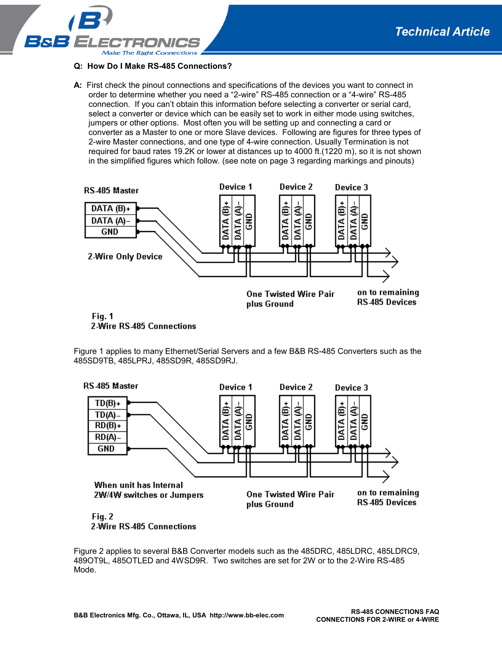**PAGE 1 OF 3** 



## **Q: How Do I Make RS-485 Connections?**

**A:** First check the pinout connections and specifications of the devices you want to connect in order to determine whether you need a "2-wire" RS-485 connection or a "4-wire" RS-485 connection. If you can't obtain this information before selecting a converter or serial card, select a converter or device which can be easily set to work in either mode using switches, jumpers or other options. Most often you will be setting up and connecting a card or converter as a Master to one or more Slave devices. Following are figures for three types of 2-wire Master connections, and one type of 4-wire connection. Usually Termination is not required for baud rates 19.2K or lower at distances up to 4000 ft.(1220 m), so it is not shown in the simplified figures which follow. (see note on page 3 regarding markings and pinouts)



2-Wire RS-485 Connections

Figure 1 applies to many Ethernet/Serial Servers and a few B&B RS-485 Converters such as the 485SD9TB, 485LPRJ, 485SD9R, 485SD9RJ.



2-Wire RS-485 Connections

Figure 2 applies to several B&B Converter models such as the 485DRC, 485LDRC, 485LDRC9, 489OT9L, 485OTLED and 4WSD9R. Two switches are set for 2W or to the 2-Wire RS-485 Mode.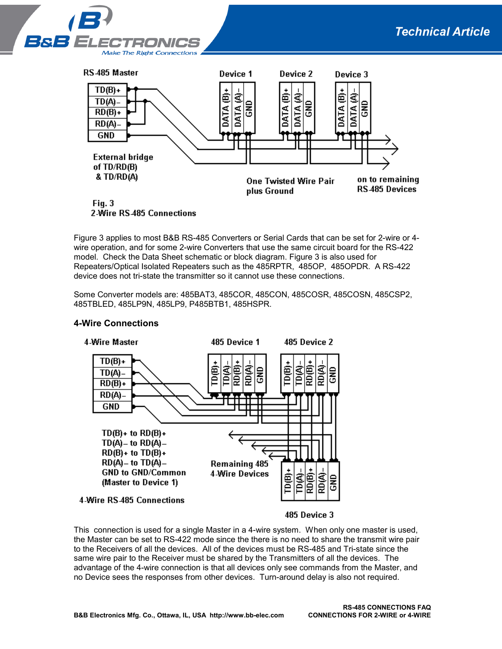**PAGE 2 OF 3** 





2-Wire RS-485 Connections

Figure 3 applies to most B&B RS-485 Converters or Serial Cards that can be set for 2-wire or 4 wire operation, and for some 2-wire Converters that use the same circuit board for the RS-422 model. Check the Data Sheet schematic or block diagram. Figure 3 is also used for Repeaters/Optical Isolated Repeaters such as the 485RPTR, 485OP, 485OPDR. A RS-422 device does not tri-state the transmitter so it cannot use these connections.

Some Converter models are: 485BAT3, 485COR, 485CON, 485COSR, 485COSN, 485CSP2, 485TBLED, 485LP9N, 485LP9, P485BTB1, 485HSPR.



## **4-Wire Connections**

485 Device 3

This connection is used for a single Master in a 4-wire system. When only one master is used, the Master can be set to RS-422 mode since the there is no need to share the transmit wire pair to the Receivers of all the devices. All of the devices must be RS-485 and Tri-state since the same wire pair to the Receiver must be shared by the Transmitters of all the devices. The advantage of the 4-wire connection is that all devices only see commands from the Master, and no Device sees the responses from other devices. Turn-around delay is also not required.